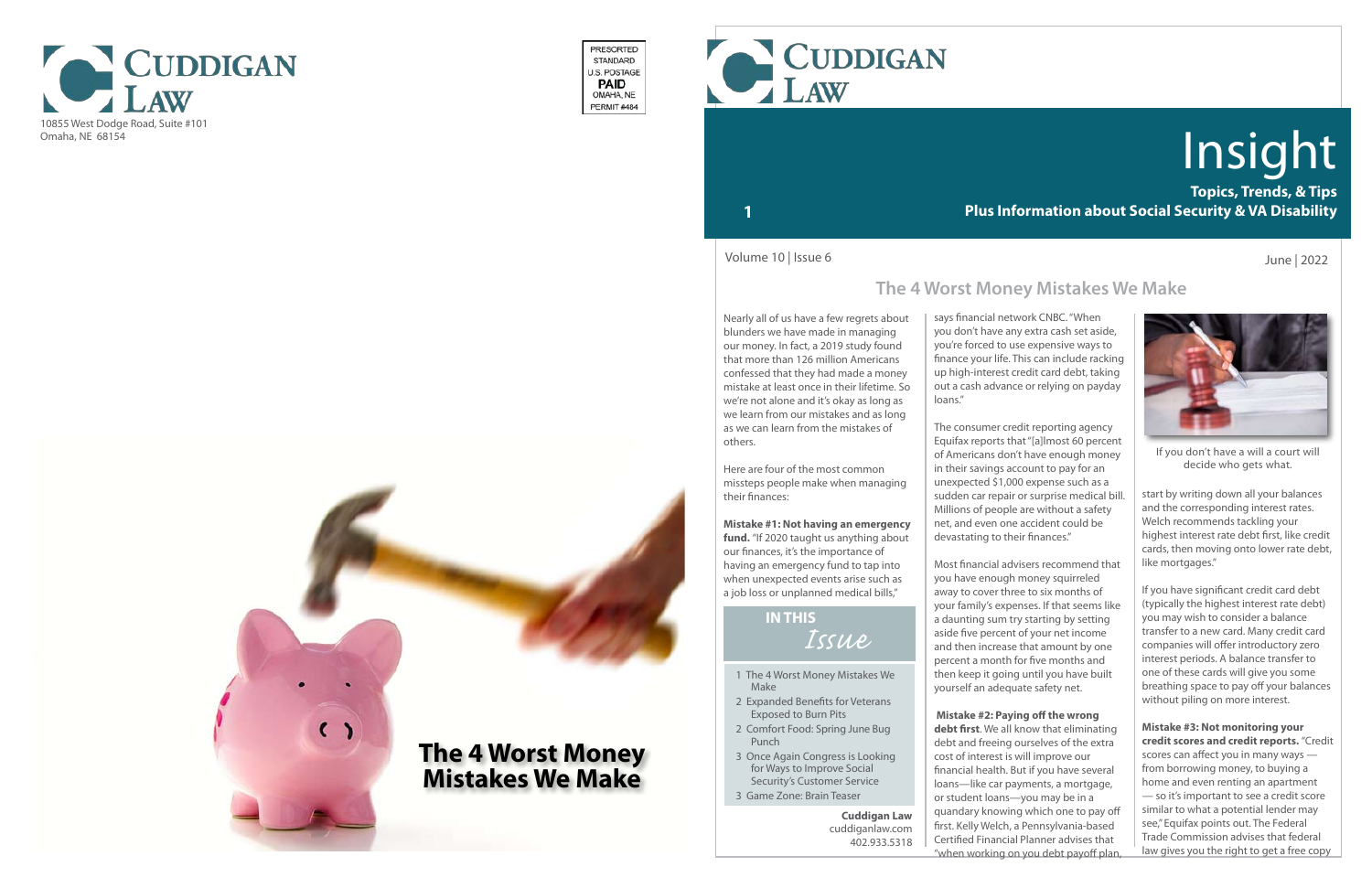

- 1 The 4 Worst Money Mistakes We Make
- 2 Expanded Benefits for Veterans Exposed to Burn Pits
- 2 Comfort Food: Spring June Bug Punch
- 3 Once Again Congress is Looking for Ways to Improve Social Security's Customer Service
- 3 Game Zone: Brain Teaser

# *Issue* **IN THIS**

**Topics, Trends, & Tips Plus Information about Social Security & VA Disability**

# Insight

### **1**



If you don't have a will a court will decide who gets what.

fund. "If 2020 taught us anything about our finances, it's the importance of having an emergency fund to tap into when unexpected events arise such as a job loss or unplanned medical bills,"

Nearly all of us have a few regrets about blunders we have made in managing our money. In fact, a 2019 study found that more than 126 million Americans confessed that they had made a money mistake at least once in their lifetime. So we're not alone and it's okay as long as we learn from our mistakes and as long as we can learn from the mistakes of others.

Here are four of the most common missteps people make when managing their finances:

### **Mistake #1: Not having an emergency**

**debt first**. We all know that eliminating debt and freeing ourselves of the extra cost of interest is will improve our financial health. But if you have several loans—like car payments, a mortgage, or student loans—you may be in a quandary knowing which one to pay off first. Kelly Welch, a Pennsylvania-based Certified Financial Planner advises that "when working on you debt payoff plan

June | 2022

says financial network CNBC. "When you don't have any extra cash set aside, you're forced to use expensive ways to finance your life. This can include racking up high-interest credit card debt, taking out a cash advance or relying on payday loans."

> start by writing down all your balances and the corresponding interest rates. Welch recommends tackling your highest interest rate debt first, like credit cards, then moving onto lower rate debt, like mortgages."

The consumer credit reporting agency Equifax reports that "[a]lmost 60 percent of Americans don't have enough money in their savings account to pay for an unexpected \$1,000 expense such as a sudden car repair or surprise medical bill. Millions of people are without a safety net, and even one accident could be devastating to their finances."

Most financial advisers recommend that you have enough money squirreled away to cover three to six months of your family's expenses. If that seems like a daunting sum try starting by setting aside five percent of your net income and then increase that amount by one percent a month for five months and then keep it going until you have built yourself an adequate safety net.

### **Mistake #2: Paying off the wrong**

Volume 10 | Issue 6

**Cuddigan Law** cuddiganlaw.com 402.933.5318



PRESORTED STANDARD U.S. POSTAGE **PAID** OMAHA, NE PERMIT#484

> If you have significant credit card debt (typically the highest interest rate debt) you may wish to consider a balance transfer to a new card. Many credit card companies will offer introductory zero interest periods. A balance transfer to one of these cards will give you some breathing space to pay off your balances without piling on more interest.

### **Mistake #3: Not monitoring your credit scores and credit reports.** "Credit

scores can affect you in many ways from borrowing money, to buying a home and even renting an apartment — so it's important to see a credit score similar to what a potential lender may see," Equifax points out. The Federal Trade Commission advises that federal law gives you the right to get a free copy

# **The 4 Worst Money Mistakes We Make**

**The 4 Worst Money** 

**Mistakes We Make**